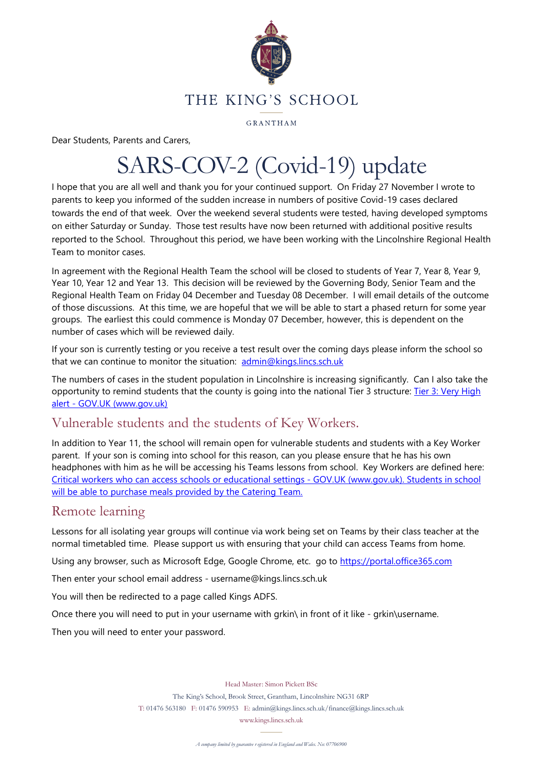

GRANTHAM

Dear Students, Parents and Carers,

# SARS-COV-2 (Covid-19) update

I hope that you are all well and thank you for your continued support. On Friday 27 November I wrote to parents to keep you informed of the sudden increase in numbers of positive Covid-19 cases declared towards the end of that week. Over the weekend several students were tested, having developed symptoms on either Saturday or Sunday. Those test results have now been returned with additional positive results reported to the School. Throughout this period, we have been working with the Lincolnshire Regional Health Team to monitor cases.

In agreement with the Regional Health Team the school will be closed to students of Year 7, Year 8, Year 9, Year 10, Year 12 and Year 13. This decision will be reviewed by the Governing Body, Senior Team and the Regional Health Team on Friday 04 December and Tuesday 08 December. I will email details of the outcome of those discussions. At this time, we are hopeful that we will be able to start a phased return for some year groups. The earliest this could commence is Monday 07 December, however, this is dependent on the number of cases which will be reviewed daily.

If your son is currently testing or you receive a test result over the coming days please inform the school so that we can continue to monitor the situation: [admin@kings.lincs.sch.uk](mailto:admin@kings.lincs.sch.uk)

The numbers of cases in the student population in Lincolnshire is increasing significantly. Can I also take the opportunity to remind students that the county is going into the national Tier 3 structure: Tier 3: Very [High](https://www.gov.uk/guidance/tier-3-very-high-alert) alert - GOV.UK [\(www.gov.uk\)](https://www.gov.uk/guidance/tier-3-very-high-alert)

#### Vulnerable students and the students of Key Workers.

In addition to Year 11, the school will remain open for vulnerable students and students with a Key Worker parent. If your son is coming into school for this reason, can you please ensure that he has his own headphones with him as he will be accessing his Teams lessons from school. Key Workers are defined here: Critical workers who can access schools or educational settings - GOV.UK [\(www.gov.uk\).](https://www.gov.uk/government/publications/coronavirus-covid-19-maintaining-educational-provision) Students in school will be able to purchase meals provided by the Catering Team.

#### Remote learning

Lessons for all isolating year groups will continue via work being set on Teams by their class teacher at the normal timetabled time. Please support us with ensuring that your child can access Teams from home.

Using any browser, such as Microsoft Edge, Google Chrome, etc. go to [https://portal.office365.com](https://portal.office365.com/)

Then enter your school email address - username@kings.lincs.sch.uk

You will then be redirected to a page called Kings ADFS.

Once there you will need to put in your username with grkin\ in front of it like - grkin\username.

Then you will need to enter your password.

Head Master: Simon Pickett BSc

The King's School, Brook Street, Grantham, Lincolnshire NG31 6RP

T: 01476 563180 F: 01476 590953 E: admin@kings.lincs.sch.uk/finance@kings.lincs.sch.uk

www.kings.lincs.sch.uk